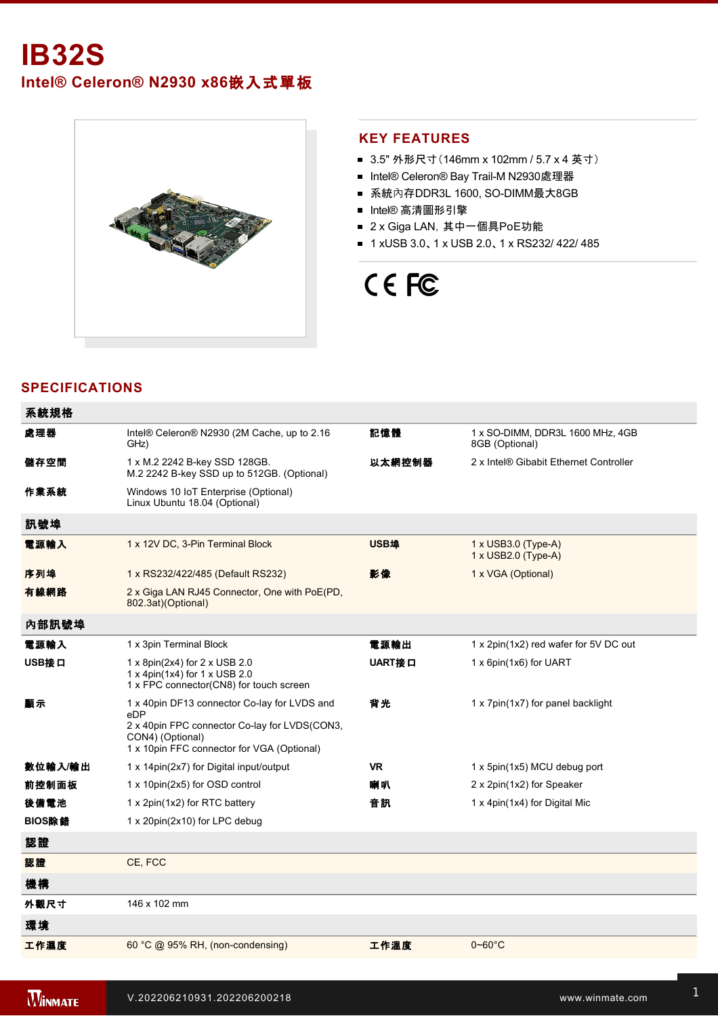# **IB32S**

**Intel® Celeron® N2930 x86**嵌入式單板



#### **KEY FEATURES**

- 3.5" 外形尺寸(146mm x 102mm / 5.7 x 4 英寸)
- Intel® Celeron® Bay Trail-M N2930處理器
- 系統內存DDR3L 1600, SO-DIMM最大8GB
- Intel® 高清圖形引擎
- 2 x Giga LAN, 其中一個具PoE功能
- 1 xUSB 3.0、1 x USB 2.0、1 x RS232/ 422/ 485

# CE FC

## **SPECIFICATIONS**

| 系統規格    |                                                                                                                                                                        |           |                                                    |
|---------|------------------------------------------------------------------------------------------------------------------------------------------------------------------------|-----------|----------------------------------------------------|
| 處理器     | Intel® Celeron® N2930 (2M Cache, up to 2.16<br>GHz)                                                                                                                    | 記憶體       | 1 x SO-DIMM, DDR3L 1600 MHz, 4GB<br>8GB (Optional) |
| 儲存空間    | 1 x M.2 2242 B-key SSD 128GB.<br>M.2 2242 B-key SSD up to 512GB. (Optional)                                                                                            | 以太網控制器    | 2 x Intel® Gibabit Ethernet Controller             |
| 作業系統    | Windows 10 IoT Enterprise (Optional)<br>Linux Ubuntu 18.04 (Optional)                                                                                                  |           |                                                    |
| 訊號埠     |                                                                                                                                                                        |           |                                                    |
| 電源輸入    | 1 x 12V DC, 3-Pin Terminal Block                                                                                                                                       | USB埠      | 1 x USB3.0 (Type-A)<br>1 x USB2.0 (Type-A)         |
| 序列埠     | 1 x RS232/422/485 (Default RS232)                                                                                                                                      | 影像        | 1 x VGA (Optional)                                 |
| 有線網路    | 2 x Giga LAN RJ45 Connector, One with PoE(PD,<br>802.3at)(Optional)                                                                                                    |           |                                                    |
| 內部訊號埠   |                                                                                                                                                                        |           |                                                    |
| 電源輸入    | 1 x 3pin Terminal Block                                                                                                                                                | 電源輸出      | 1 x 2pin(1x2) red wafer for 5V DC out              |
| USB接口   | 1 x 8pin(2x4) for 2 x USB 2.0<br>1 x 4pin(1x4) for 1 x USB 2.0<br>1 x FPC connector(CN8) for touch screen                                                              | UART接口    | 1 x 6pin(1x6) for UART                             |
| 顯示      | 1 x 40pin DF13 connector Co-lay for LVDS and<br>eDP<br>2 x 40pin FPC connector Co-lay for LVDS(CON3,<br>CON4) (Optional)<br>1 x 10pin FFC connector for VGA (Optional) | 背光        | 1 x 7pin(1x7) for panel backlight                  |
| 數位輸入/輸出 | 1 x 14pin(2x7) for Digital input/output                                                                                                                                | <b>VR</b> | 1 x 5pin(1x5) MCU debug port                       |
| 前控制面板   | 1 x 10pin(2x5) for OSD control                                                                                                                                         | 喇叭        | 2 x 2pin(1x2) for Speaker                          |
| 後備電池    | 1 x 2pin(1x2) for RTC battery                                                                                                                                          | 音訊        | 1 x 4pin(1x4) for Digital Mic                      |
| BIOS除錯  | 1 x 20pin(2x10) for LPC debug                                                                                                                                          |           |                                                    |
| 認證      |                                                                                                                                                                        |           |                                                    |
| 認證      | CE, FCC                                                                                                                                                                |           |                                                    |
| 機構      |                                                                                                                                                                        |           |                                                    |
| 外觀尺寸    | 146 x 102 mm                                                                                                                                                           |           |                                                    |
| 環境      |                                                                                                                                                                        |           |                                                    |
| 工作濕度    | 60 °C @ 95% RH, (non-condensing)                                                                                                                                       | 工作溫度      | $0 - 60$ °C                                        |

配件